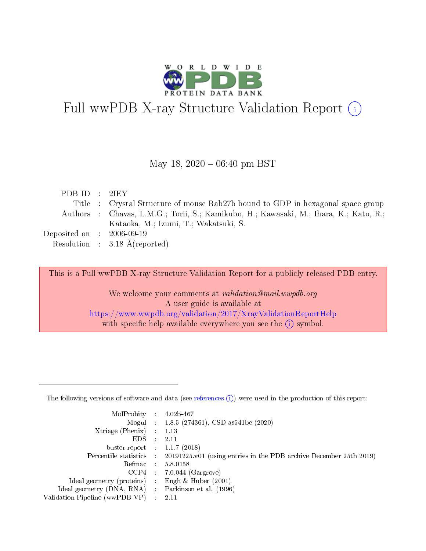

# Full wwPDB X-ray Structure Validation Report (i)

#### May 18,  $2020 - 06:40$  pm BST

| PDBID : 2I EY                        |                                                                                       |
|--------------------------------------|---------------------------------------------------------------------------------------|
|                                      | Title : Crystal Structure of mouse Rab27b bound to GDP in hexagonal space group       |
|                                      | Authors : Chavas, L.M.G.; Torii, S.; Kamikubo, H.; Kawasaki, M.; Ihara, K.; Kato, R.; |
|                                      | Kataoka, M.; Izumi, T.; Wakatsuki, S.                                                 |
| Deposited on $\therefore$ 2006-09-19 |                                                                                       |
|                                      | Resolution : $3.18 \text{ Å}$ (reported)                                              |

This is a Full wwPDB X-ray Structure Validation Report for a publicly released PDB entry.

We welcome your comments at validation@mail.wwpdb.org A user guide is available at <https://www.wwpdb.org/validation/2017/XrayValidationReportHelp> with specific help available everywhere you see the  $(i)$  symbol.

The following versions of software and data (see [references](https://www.wwpdb.org/validation/2017/XrayValidationReportHelp#references)  $(1)$ ) were used in the production of this report:

| MolProbity                     | $\mathcal{L}_{\rm{max}}$ | $4.02b - 467$                                                                |
|--------------------------------|--------------------------|------------------------------------------------------------------------------|
|                                |                          | Mogul : $1.8.5$ (274361), CSD as 541be (2020)                                |
| $X$ triage (Phenix) :          |                          | 1.13                                                                         |
| EDS.                           |                          | 2.11                                                                         |
| buster-report : $1.1.7$ (2018) |                          |                                                                              |
| Percentile statistics :        |                          | $20191225 \text{ v}01$ (using entries in the PDB archive December 25th 2019) |
| Refmac                         |                          | 5.8.0158                                                                     |
| $CCP4$ :                       |                          | $7.0.044$ (Gargrove)                                                         |
| Ideal geometry (proteins) :    |                          | Engh $\&$ Huber (2001)                                                       |
| Ideal geometry (DNA, RNA) :    |                          | Parkinson et al. (1996)                                                      |
| Validation Pipeline (wwPDB-VP) | $\mathcal{L}$            | -2.11                                                                        |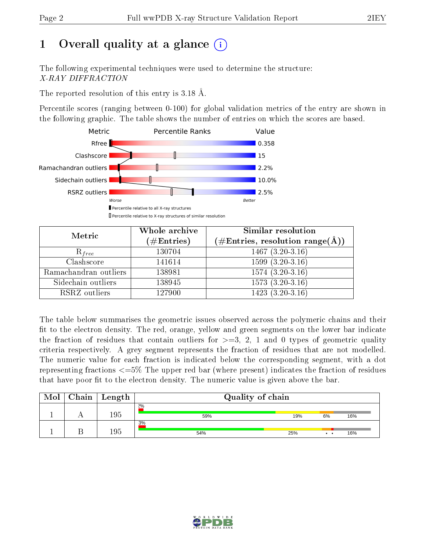# 1 [O](https://www.wwpdb.org/validation/2017/XrayValidationReportHelp#overall_quality)verall quality at a glance  $(i)$

The following experimental techniques were used to determine the structure: X-RAY DIFFRACTION

The reported resolution of this entry is 3.18 Å.

Percentile scores (ranging between 0-100) for global validation metrics of the entry are shown in the following graphic. The table shows the number of entries on which the scores are based.



| Metric                | Whole archive<br>$(\#\text{Entries})$ | <b>Similar resolution</b><br>$(\#\text{Entries},\,\text{resolution}\,\,\text{range}(\textup{\AA}))$ |
|-----------------------|---------------------------------------|-----------------------------------------------------------------------------------------------------|
| $R_{free}$            | 130704                                | $1467(3.20-3.16)$                                                                                   |
| Clashscore            | 141614                                | $1599(3.20-3.16)$                                                                                   |
| Ramachandran outliers | 138981                                | $1574(3.20-3.16)$                                                                                   |
| Sidechain outliers    | 138945                                | $1573(3.20-3.16)$                                                                                   |
| RSRZ outliers         | 127900                                | $1423(3.20-3.16)$                                                                                   |

The table below summarises the geometric issues observed across the polymeric chains and their fit to the electron density. The red, orange, yellow and green segments on the lower bar indicate the fraction of residues that contain outliers for  $>=3, 2, 1$  and 0 types of geometric quality criteria respectively. A grey segment represents the fraction of residues that are not modelled. The numeric value for each fraction is indicated below the corresponding segment, with a dot representing fractions  $\epsilon=5\%$  The upper red bar (where present) indicates the fraction of residues that have poor fit to the electron density. The numeric value is given above the bar.

| Mol | Chain | Length | Quality of chain |     |                 |     |  |
|-----|-------|--------|------------------|-----|-----------------|-----|--|
|     |       | 195    | 2%<br>59%        | 19% | 6%              | 16% |  |
|     |       | 195    | 3%<br>54%        | 25% | $\cdot$ $\cdot$ | 16% |  |

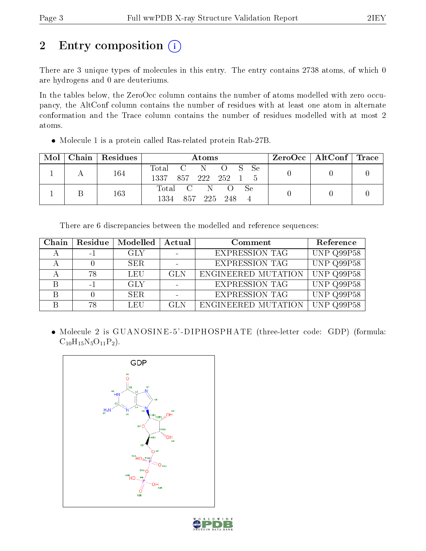# 2 Entry composition (i)

There are 3 unique types of molecules in this entry. The entry contains 2738 atoms, of which 0 are hydrogens and 0 are deuteriums.

In the tables below, the ZeroOcc column contains the number of atoms modelled with zero occupancy, the AltConf column contains the number of residues with at least one atom in alternate conformation and the Trace column contains the number of residues modelled with at most 2 atoms.

Molecule 1 is a protein called Ras-related protein Rab-27B.

| Mol | Chain   Residues | Atoms                                                              | $ZeroOcc \   \$ AltConf | Trace |
|-----|------------------|--------------------------------------------------------------------|-------------------------|-------|
|     | 164              | Total C N<br>– Se<br>$\overline{O}$ S<br>1337 -<br>857 222 252 1 5 |                         |       |
|     | 163              | Total C N<br><b>Se</b><br>1334<br>857 225<br>248                   |                         |       |

There are 6 discrepancies between the modelled and reference sequences:

| Chain | Residue  | Modelled   | Actual     | Comment               | Reference               |
|-------|----------|------------|------------|-----------------------|-------------------------|
|       | $\sim$ 1 | GLY        |            | <b>EXPRESSION TAG</b> | UNP Q99P58              |
|       |          | SER.       |            | <b>EXPRESSION TAG</b> | UNP Q99P58              |
|       | 78       | LEU        | <b>GLN</b> | ENGINEERED MUTATION   | UNP Q99P58              |
|       | $-1$     | <b>GLY</b> |            | <b>EXPRESSION TAG</b> | UNP Q99P58              |
|       |          | SER.       |            | <b>EXPRESSION TAG</b> | $\overline{UNP}$ Q99P58 |
|       | 78       | LEU        | GLN        | ENGINEERED MUTATION   | UNP $Q99P58$            |

 Molecule 2 is GUANOSINE -5' -DIPHOSPHATE (three-letter code: GDP) (formula:  $C_{10}H_{15}N_5O_{11}P_2$ .



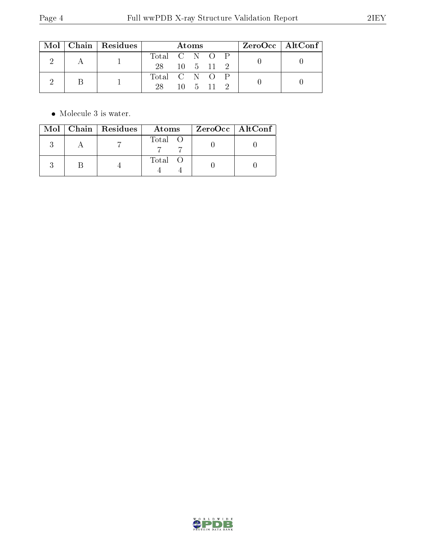|  |  | Mol   Chain   Residues | Atoms         |  |                       | $\rm ZeroOcc \mid AltConf$ |  |  |
|--|--|------------------------|---------------|--|-----------------------|----------------------------|--|--|
|  |  |                        | Total C N O P |  |                       |                            |  |  |
|  |  | 28 10 5 11 2           |               |  |                       |                            |  |  |
|  |  |                        | Total C N O P |  |                       |                            |  |  |
|  |  | 28.                    |               |  | $10 \quad 5 \quad 11$ |                            |  |  |

 $\bullet\,$  Molecule 3 is water.

|  | Mol   Chain   Residues | Atoms   | $ZeroOcc \   \ AtConf \  $ |
|--|------------------------|---------|----------------------------|
|  |                        | Total O |                            |
|  |                        | Total O |                            |

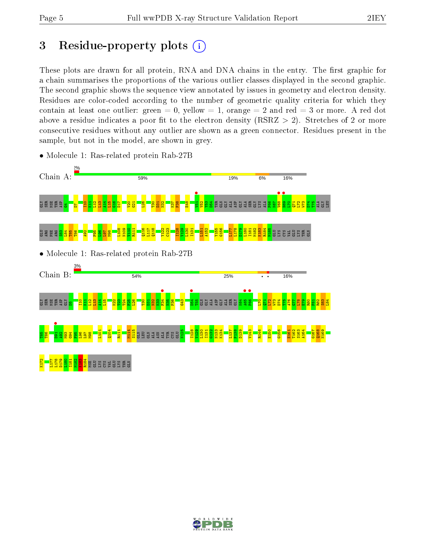# 3 Residue-property plots  $(i)$

These plots are drawn for all protein, RNA and DNA chains in the entry. The first graphic for a chain summarises the proportions of the various outlier classes displayed in the second graphic. The second graphic shows the sequence view annotated by issues in geometry and electron density. Residues are color-coded according to the number of geometric quality criteria for which they contain at least one outlier: green  $= 0$ , yellow  $= 1$ , orange  $= 2$  and red  $= 3$  or more. A red dot above a residue indicates a poor fit to the electron density (RSRZ  $> 2$ ). Stretches of 2 or more consecutive residues without any outlier are shown as a green connector. Residues present in the sample, but not in the model, are shown in grey.



• Molecule 1: Ras-related protein Rab-27B

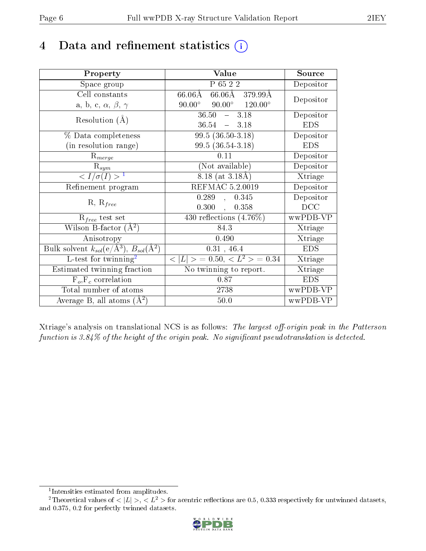# 4 Data and refinement statistics  $(i)$

| Property                                                                 | Value                                            | Source     |
|--------------------------------------------------------------------------|--------------------------------------------------|------------|
| Space group                                                              | P 65 2 2                                         | Depositor  |
| Cell constants                                                           | 66.06Å 379.99Å<br>$66.06\text{\AA}$              |            |
| a, b, c, $\alpha$ , $\beta$ , $\gamma$                                   | $90.00^{\circ}$ $90.00^{\circ}$ $120.00^{\circ}$ | Depositor  |
| Resolution $(A)$                                                         | $-3.18$<br>36.50                                 | Depositor  |
|                                                                          | 36.54<br>$-3.18$                                 | <b>EDS</b> |
| $\%$ Data completeness                                                   | $99.5(36.50-3.18)$                               | Depositor  |
| (in resolution range)                                                    | $99.5(36.54-3.18)$                               | <b>EDS</b> |
| $R_{merge}$                                                              | 0.11                                             | Depositor  |
| $\mathrm{R}_{sym}$                                                       | (Not available)                                  | Depositor  |
| $\langle I/\sigma(I) \rangle^{-1}$                                       | $8.18$ (at 3.18Å)                                | Xtriage    |
| Refinement program                                                       | REFMAC 5.2.0019                                  | Depositor  |
| $R, R_{free}$                                                            | 0.289,<br>0.345                                  | Depositor  |
|                                                                          | 0.300,<br>0.358                                  | DCC        |
| $R_{free}$ test set                                                      | 430 reflections $(4.76\%)$                       | wwPDB-VP   |
| Wilson B-factor $(A^2)$                                                  | 84.3                                             | Xtriage    |
| Anisotropy                                                               | 0.490                                            | Xtriage    |
| Bulk solvent $k_{sol}(\mathrm{e}/\mathrm{A}^3),$ $B_{sol}(\mathrm{A}^2)$ | 0.31, 46.4                                       | <b>EDS</b> |
| L-test for twinning <sup>2</sup>                                         | $< L >$ = 0.50, $< L2 >$ = 0.34                  | Xtriage    |
| Estimated twinning fraction                                              | $\overline{\text{No}}$ twinning to report.       | Xtriage    |
| $F_o, F_c$ correlation                                                   | 0.87                                             | <b>EDS</b> |
| Total number of atoms                                                    | 2738                                             | wwPDB-VP   |
| Average B, all atoms $(A^2)$                                             | 50.0                                             | wwPDB-VP   |

Xtriage's analysis on translational NCS is as follows: The largest off-origin peak in the Patterson function is  $3.84\%$  of the height of the origin peak. No significant pseudotranslation is detected.

<sup>&</sup>lt;sup>2</sup>Theoretical values of  $\langle |L| \rangle$ ,  $\langle L^2 \rangle$  for acentric reflections are 0.5, 0.333 respectively for untwinned datasets, and 0.375, 0.2 for perfectly twinned datasets.



<span id="page-5-1"></span><span id="page-5-0"></span><sup>1</sup> Intensities estimated from amplitudes.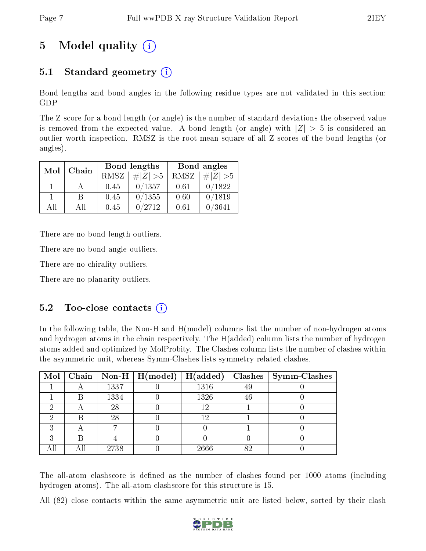# 5 Model quality  $(i)$

### 5.1 Standard geometry (i)

Bond lengths and bond angles in the following residue types are not validated in this section: GDP

The Z score for a bond length (or angle) is the number of standard deviations the observed value is removed from the expected value. A bond length (or angle) with  $|Z| > 5$  is considered an outlier worth inspection. RMSZ is the root-mean-square of all Z scores of the bond lengths (or angles).

| Mol | Chain |      | Bond lengths | Bond angles |             |  |
|-----|-------|------|--------------|-------------|-------------|--|
|     |       | RMSZ | $\# Z  > 5$  | RMSZ        | $\# Z  > 5$ |  |
|     |       | 0.45 | 0/1357       | 0.61        | 0/1822      |  |
|     | R     | 0.45 | 0/1355       | 0.60        | 0/1819      |  |
| ΔH  | A II  | 0.45 | 0/2712       | 0.61        | 0/3641      |  |

There are no bond length outliers.

There are no bond angle outliers.

There are no chirality outliers.

There are no planarity outliers.

#### $5.2$  Too-close contacts  $(i)$

In the following table, the Non-H and H(model) columns list the number of non-hydrogen atoms and hydrogen atoms in the chain respectively. The H(added) column lists the number of hydrogen atoms added and optimized by MolProbity. The Clashes column lists the number of clashes within the asymmetric unit, whereas Symm-Clashes lists symmetry related clashes.

|   |   |      | Mol   Chain   Non-H   H(model)   H(added) |      |    | $\text{Classes} \mid \text{Symm-Class}$ |
|---|---|------|-------------------------------------------|------|----|-----------------------------------------|
|   |   | 1337 |                                           | 1316 | 49 |                                         |
|   | В | 1334 |                                           | 1326 | 46 |                                         |
| ച |   | 28   |                                           | 12   |    |                                         |
|   |   | 28   |                                           | 12   |    |                                         |
| ົ |   |      |                                           |      |    |                                         |
| ച |   |      |                                           |      |    |                                         |
|   |   | 2738 |                                           | 2666 | 82 |                                         |

The all-atom clashscore is defined as the number of clashes found per 1000 atoms (including hydrogen atoms). The all-atom clashscore for this structure is 15.

All (82) close contacts within the same asymmetric unit are listed below, sorted by their clash

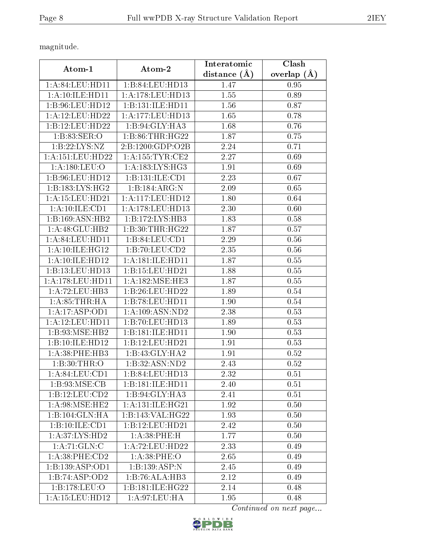magnitude.

| Atom-1               | Atom-2               | Interatomic    | Clash         |
|----------------------|----------------------|----------------|---------------|
|                      |                      | distance $(A)$ | overlap $(A)$ |
| 1:A:84:LEU:HD11      | 1:B:84:LEU:HD13      | 1.47           | 0.95          |
| 1:A:10:ILE:HD11      | 1:A:178:LEU:HD13     | 1.55           | 0.89          |
| 1:B:96:LEU:HD12      | 1:B:131:ILE:HD11     | 1.56           | 0.87          |
| 1:A:12:LEU:HD22      | 1: A: 177: LEU: HD13 | 1.65           | 0.78          |
| 1:B:12:LEU:HD22      | 1:B:94:GLY:HA3       | 1.68           | 0.76          |
| 1:B:83:SER:O         | 1: B:86:THR:HG22     | 1.87           | 0.75          |
| 1: B: 22: LYS: NZ    | 2:B:1200:GDP:O2B     | 2.24           | 0.71          |
| 1: A: 151: LEU: HD22 | 1: A: 155: TYR: CE2  | 2.27           | 0.69          |
| 1: A: 180: LEU: O    | 1: A: 183: LYS: HG3  | 1.91           | 0.69          |
| 1:B:96:LEU:HD12      | 1:B:131:ILE:CD1      | 2.23           | 0.67          |
| 1: B: 183: LYS: HG2  | 1:B:184:ARG:N        | 2.09           | 0.65          |
| 1: A: 15: LEU: HD21  | $1: A:117:$ LEU:HD12 | 1.80           | 0.64          |
| 1:A:10:ILE:CD1       | 1:A:178:LEU:HD13     | 2.30           | 0.60          |
| 1:B:169:ASN:HB2      | 1:B:172:LYS:HB3      | 1.83           | 0.58          |
| 1:A:48:GLU:HB2       | 1:B:30:THR:HG22      | 1.87           | 0.57          |
| 1: A:84:LEU:HD11     | 1:B:84:LEU:CD1       | 2.29           | 0.56          |
| 1: A:10: ILE: HG12   | 1:B:70:LEU:CD2       | 2.35           | 0.56          |
| 1:A:10:ILE:HD12      | 1: A:181: ILE: HDI1  | 1.87           | $0.55\,$      |
| 1:B:13:LEU:HD13      | 1: B:15: LEU: HD21   | 1.88           | 0.55          |
| 1:A:178:LEU:HD11     | 1: A: 182: MSE: HE3  | 1.87           | 0.55          |
| 1:A:72:LEU:HB3       | 1:B:26:LEU:HD22      | 1.89           | 0.54          |
| 1: A:85:THR:HA       | 1:B:78:LEU:HD11      | 1.90           | 0.54          |
| 1:A:17:ASP:OD1       | 1: A: 109: ASN: ND2  | 2.38           | 0.53          |
| 1:A:12:LEU:HD11      | 1:B:70:LEU:HD13      | 1.89           | 0.53          |
| 1:B:93:MSE:HB2       | 1:B:181:ILE:HD11     | 1.90           | 0.53          |
| 1:B:10:ILE:HD12      | 1:B:12:LEU:HD21      | 1.91           | 0.53          |
| 1:A:38:PHE:HB3       | 1:B:43:GLY:HA2       | 1.91           | 0.52          |
| 1:B:30:THR:O         | 1:B:32:ASN:ND2       | 2.43           | 0.52          |
| 1: A:84: LEU:CD1     | 1:B:84:LEU:HD13      | 2.32           | 0.51          |
| 1:B:93:MSE:CB        | 1:B:181:ILE:HD11     | 2.40           | 0.51          |
| 1:B:12:LEU:CD2       | 1:B:94:GLY:HA3       | 2.41           | 0.51          |
| 1: A:98: MSE: HE2    | 1: A: 131: ILE: HG21 | 1.92           | 0.50          |
| 1:B:104:GLN:HA       | 1:B:143:VAL:HG22     | 1.93           | $0.50\,$      |
| 1:B:10:ILE:CD1       | 1:B:12:LEU:HD21      | 2.42           | 0.50          |
| 1:A:37:LYS:HD2       | 1:A:38:PHE:H         | 1.77           | 0.50          |
| 1:A:71:GLN:C         | 1: A: 72: LEU: HD22  | 2.33           | 0.49          |
| 1: A:38: PHE:CD2     | 1: A:38:PHE:O        | 2.65           | 0.49          |
| 1: B: 139: ASP: OD1  | 1:B:139:ASP:N        | 2.45           | 0.49          |
| 1:B:74:ASP:OD2       | 1:B:76:ALA:HB3       | 2.12           | 0.49          |
| 1:B:178:LEU:O        | 1:B:181:ILE:HG22     | 2.14           | 0.48          |
| 1: A: 15: LEU: HD12  | 1: A:97: LEU: HA     | 1.95           | 0.48          |

Continued on next page...

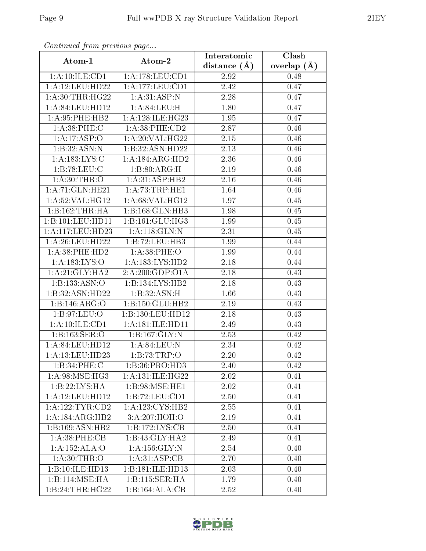| оонынаса јтот ртсоюаз раде           |                              | Interatomic       | Clash           |
|--------------------------------------|------------------------------|-------------------|-----------------|
| Atom-1                               | Atom-2                       | distance $(A)$    | overlap $(\AA)$ |
| 1:A:10:ILE:CD1                       | 1: A:178: LEU: CD1           | 2.92              | 0.48            |
| 1:A:12:LEU:HD22                      | 1:A:177:LEU:CD1              | 2.42              | 0.47            |
| 1: A:30:THR:HG22                     | 1:A:31:ASP:N                 | 2.28              | 0.47            |
| 1:A:84:LEU:HD12                      | 1:A:84:LEU:H                 | 1.80              | 0.47            |
| 1: A:95:PHE:HB2                      | 1: A:128: ILE: HG23          | 1.95              | 0.47            |
| 1: A:38: PHE: C                      | 1: A:38: PHE:CD2             | 2.87              | 0.46            |
| 1:A:17:ASP:O                         | 1: A:20: VAL:HG22            | 2.15              | 0.46            |
| 1:B:32:ASN:N                         | 1:B:32:ASN:HD22              | 2.13              | 0.46            |
| 1: A: 183: LYS: C                    | 1:A:184:ARG:HD2              | 2.36              | 0.46            |
| 1:B:78:LEU:C                         | 1:B:80:ARG:H                 | 2.19              | 0.46            |
| 1: A:30:THR:O                        | 1:A:31:ASP:HB2               | 2.16              | 0.46            |
| 1:A:71:GLN:HE21                      | 1: A:73:TRP:HE1              | 1.64              | 0.46            |
| 1:A:52:VAL:HG12                      | 1:A:68:VAL:HG12              | 1.97              | 0.45            |
| 1:B:162:THR:HA                       | $1:B:168:\overline{GLN:HB3}$ | 1.98              | 0.45            |
| 1:B:101:LEU:HD11                     | 1: B:161: GLU: HG3           | 1.99              | 0.45            |
| $1:\overline{A}:117:\text{LEU}:HD23$ | 1:A:118:GLN:N                | 2.31              | 0.45            |
| 1: A:26:LEU:HD22                     | 1:B:72:LEU:HB3               | 1.99              | 0.44            |
| 1: A:38: PHE:HD2                     | 1: A:38:PHE:O                | 1.99              | 0.44            |
| 1: A: 183: LYS: O                    | 1: A: 183: LYS: HD2          | 2.18              | 0.44            |
| 1: A:21: GLY:HA2                     | 2:A:200:GDP:O1A              | 2.18              | 0.43            |
| 1:B:133:ASN:O                        | 1:B:134:LYS:HB2              | 2.18              | 0.43            |
| 1:B:32:ASN:HD22                      | 1:B:32:ASN:H                 | 1.66              | 0.43            |
| 1:B:146:ARG:O                        | 1:B:150:GLU:HB2              | 2.19              | 0.43            |
| 1: B:97:LEU:O                        | 1:B:130:LEU:HD12             | 2.18              | 0.43            |
| 1:A:10:ILE:CD1                       | 1: A:181: ILE: HD11          | 2.49              | 0.43            |
| 1:B:163:SER:O                        | 1: B: 167: GLY: N            | 2.53              | 0.42            |
| 1:A:84:LEU:HD12                      | 1: A:84:LEU: N               | 2.34              | 0.42            |
| 1:A:13:LEU:HD23                      | 1:B:73:TRP:O                 | 2.20              | 0.42            |
| 1:B:34:PHE:C                         | 1:B:36:PRO:HD3               | 2.40              | 0.42            |
| 1:A:98:MSE:HG3                       | 1:A:131:ILE:HG22             | 2.02              | 0.41            |
| 1:B:22:LYS:HA                        | 1:B:98:MSE:HE1               | 2.02              | 0.41            |
| 1:A:12:LEU:HD12                      | 1:B:72:LEU:CD1               | 2.50              | 0.41            |
| 1: A: 122: TYR: CD2                  | 1:A:123:CYS:HB2              | 2.55              | 0.41            |
| 1:A:184:ARG:HB2                      | 3:A:207:HOH:O                | 2.19              | 0.41            |
| 1:B:169:ASN:HB2                      | 1:B:172:LYS:CB               | 2.50              | 0.41            |
| 1:A:38:PHE:CB                        | 1:B:43:GLY:HA2               | $\overline{2.49}$ | 0.41            |
| 1:A:152:ALA:O                        | 1: A: 156: GLY: N            | 2.54              | 0.40            |
| 1: A:30:THR:O                        | 1: A:31: ASP:CB              | 2.70              | 0.40            |
| 1:B:10:ILE:HD13                      | 1:B:181:ILE:HD13             | 2.03              | 0.40            |
| 1:B:114:MSE:HA                       | 1:B:115:SER:HA               | 1.79              | 0.40            |
| 1:B:24:THR:HG22                      | 1:B:164:ALA:CB               | 2.52              | 0.40            |

Continued from previous page.

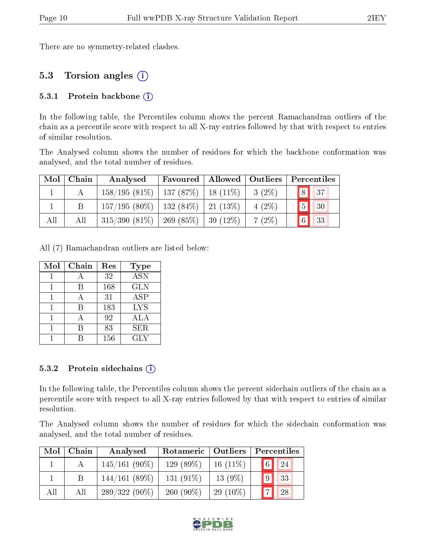There are no symmetry-related clashes.

### 5.3 Torsion angles (i)

#### 5.3.1 Protein backbone  $(i)$

In the following table, the Percentiles column shows the percent Ramachandran outliers of the chain as a percentile score with respect to all X-ray entries followed by that with respect to entries of similar resolution.

The Analysed column shows the number of residues for which the backbone conformation was analysed, and the total number of residues.

|     | $Mol$   Chain | Analysed                                  | Favoured   Allowed   Outliers |          | Percentiles    |
|-----|---------------|-------------------------------------------|-------------------------------|----------|----------------|
|     |               | $158/195(81\%)$   137 (87\%)   18 (11\%)  |                               | $3(2\%)$ | $\boxed{8}$ 37 |
|     |               | $157/195(80\%)$   132 (84\%)   21 (13\%)  |                               | $4(2\%)$ | 5 30           |
| All | All           | $315/390$ (81\%)   269 (85\%)   39 (12\%) |                               | $7(2\%)$ | 6 33           |

All (7) Ramachandran outliers are listed below:

| Mol | Chain | Res | <b>Type</b> |
|-----|-------|-----|-------------|
|     |       | 32  | <b>ASN</b>  |
|     |       | 168 | <b>GLN</b>  |
|     |       | 31  | ASP         |
|     | R     | 183 | <b>LYS</b>  |
|     |       | 92  | <b>ALA</b>  |
|     |       | 83  | <b>SER</b>  |
|     |       | 156 | GLY         |

#### 5.3.2 Protein sidechains  $(i)$

In the following table, the Percentiles column shows the percent sidechain outliers of the chain as a percentile score with respect to all X-ray entries followed by that with respect to entries of similar resolution.

The Analysed column shows the number of residues for which the sidechain conformation was analysed, and the total number of residues.

| Mol | Chain | Analysed        | Rotameric   Outliers |            | Percentiles          |
|-----|-------|-----------------|----------------------|------------|----------------------|
|     |       | $145/161(90\%)$ | $129(89\%)$          | $16(11\%)$ | $\boxed{6}$ 24       |
|     | B     | 144/161(89%)    | $131(91\%)$          | $13(9\%)$  | 33                   |
| All | All   | $289/322(90\%)$ | $260(90\%)$          | $29(10\%)$ | $\overline{a}$<br>28 |

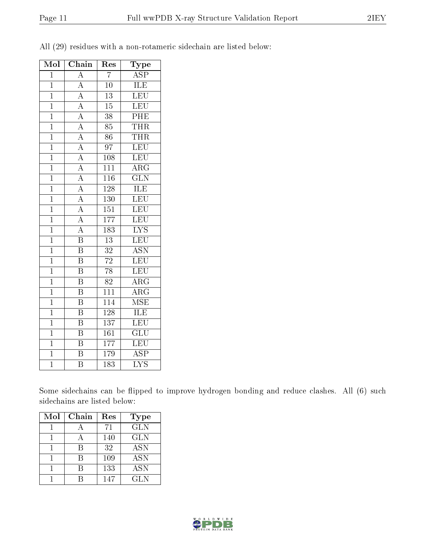| Mol            | Chain                   | $\operatorname{Res}% \left( \mathcal{N}\right) \simeq\operatorname{Res}(\mathcal{N}_{0})^{\ast}$ | $_{\rm Type}$             |
|----------------|-------------------------|--------------------------------------------------------------------------------------------------|---------------------------|
| $\overline{1}$ | $\overline{A}$          | $\overline{7}$                                                                                   | $\overline{\text{ASP}}$   |
| $\mathbf{1}$   | $\overline{A}$          | 10                                                                                               | ILE                       |
| $\overline{1}$ | $\overline{A}$          | $\overline{13}$                                                                                  | LEU                       |
| $\overline{1}$ | $\overline{A}$          | 15                                                                                               | LEU                       |
| $\overline{1}$ | $\overline{A}$          | $\overline{38}$                                                                                  | $\overline{\mathrm{PHE}}$ |
| $\overline{1}$ | $\overline{A}$          | 85                                                                                               | <b>THR</b>                |
| $\overline{1}$ | $\overline{A}$          | 86                                                                                               | <b>THR</b>                |
| $\overline{1}$ | $\overline{A}$          | $\overline{97}$                                                                                  | LEU                       |
| $\overline{1}$ | $\overline{A}$          | 108                                                                                              | LEU                       |
| $\overline{1}$ | $\overline{A}$          | $\overline{111}$                                                                                 | $\overline{\rm{ARG}}$     |
| $\overline{1}$ | $\overline{A}$          | $\overline{116}$                                                                                 | $\overline{\text{GLN}}$   |
| $\mathbf{1}$   | $\overline{A}$          | 128                                                                                              | ILE                       |
| $\overline{1}$ | $\overline{A}$          | <b>130</b>                                                                                       | LEU                       |
| $\mathbf{1}$   | $\overline{A}$          | 151                                                                                              | LEU                       |
| $\overline{1}$ | $\overline{A}$          | $\overline{177}$                                                                                 | $\overline{\text{LEU}}$   |
| $\overline{1}$ | $\overline{A}$          | 183                                                                                              | $\overline{\text{LYS}}$   |
| $\overline{1}$ | $\overline{\mathrm{B}}$ | $\overline{13}$                                                                                  | $\overline{\text{LEU}}$   |
| $\overline{1}$ | $\overline{\mathbf{B}}$ | $\overline{32}$                                                                                  | <b>ASN</b>                |
| $\overline{1}$ | $\overline{\mathrm{B}}$ | $\overline{72}$                                                                                  | $\overline{\text{LEU}}$   |
| $\overline{1}$ | $\overline{\mathrm{B}}$ | $\overline{78}$                                                                                  | LEU                       |
| $\overline{1}$ | $\overline{\text{B}}$   | $\overline{82}$                                                                                  | $\overline{\rm{ARG}}$     |
| $\mathbf{1}$   | $\overline{\mathrm{B}}$ | 111                                                                                              | $\overline{\rm{ARG}}$     |
| $\overline{1}$ | $\overline{\text{B}}$   | $\overline{114}$                                                                                 | $\overline{\rm MSE}$      |
| $\mathbf{1}$   | $\overline{\mathrm{B}}$ | 128                                                                                              | $\overline{\text{ILE}}$   |
| $\overline{1}$ | $\overline{\mathrm{B}}$ | $\overline{137}$                                                                                 | $\overline{\text{LEU}}$   |
| $\mathbf{1}$   | $\overline{\text{B}}$   | 161                                                                                              | $\overline{{\rm GLU}}$    |
| $\overline{1}$ | $\overline{\mathrm{B}}$ | 177                                                                                              | $\overline{\text{LEU}}$   |
| $\overline{1}$ | $\overline{\mathrm{B}}$ | 179                                                                                              | $\overline{\text{ASP}}$   |
| $\overline{1}$ | $\overline{\mathrm{B}}$ | $\overline{183}$                                                                                 | $\overline{\text{LYS}}$   |

All (29) residues with a non-rotameric sidechain are listed below:

Some sidechains can be flipped to improve hydrogen bonding and reduce clashes. All (6) such sidechains are listed below:

| Mol | Chain | Res | <b>Type</b> |
|-----|-------|-----|-------------|
|     |       | 71  | <b>GLN</b>  |
|     |       | 140 | <b>GLN</b>  |
|     |       | 32  | <b>ASN</b>  |
|     | R     | 109 | <b>ASN</b>  |
|     |       | 133 | <b>ASN</b>  |
|     |       | 147 | <b>GLN</b>  |

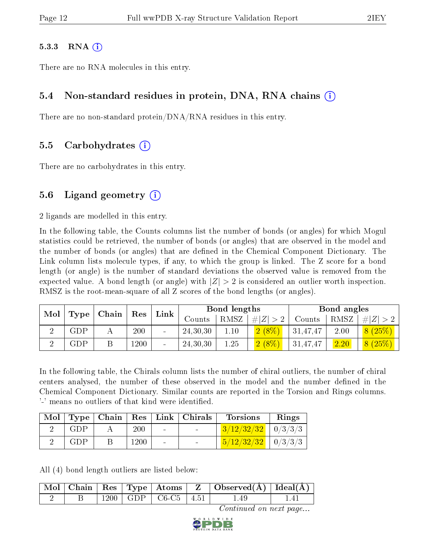#### $5.3.3$  RNA  $(i)$

There are no RNA molecules in this entry.

#### 5.4 Non-standard residues in protein, DNA, RNA chains (i)

There are no non-standard protein/DNA/RNA residues in this entry.

#### 5.5 Carbohydrates (i)

There are no carbohydrates in this entry.

#### 5.6 Ligand geometry  $(i)$

2 ligands are modelled in this entry.

In the following table, the Counts columns list the number of bonds (or angles) for which Mogul statistics could be retrieved, the number of bonds (or angles) that are observed in the model and the number of bonds (or angles) that are defined in the Chemical Component Dictionary. The Link column lists molecule types, if any, to which the group is linked. The Z score for a bond length (or angle) is the number of standard deviations the observed value is removed from the expected value. A bond length (or angle) with  $|Z| > 2$  is considered an outlier worth inspection. RMSZ is the root-mean-square of all Z scores of the bond lengths (or angles).

| Mol | Type        | Chain | ${\rm Res}$ | ${\rm Link}$ |            | Bond lengths |             |          | Bond angles |         |
|-----|-------------|-------|-------------|--------------|------------|--------------|-------------|----------|-------------|---------|
|     |             |       |             |              | Counts     | RMSZ         | # $ Z  > 2$ | Counts   | RMSZ        | $\# Z $ |
|     | ${\rm GDP}$ |       | 200         |              | 24, 30, 30 | 1.10         | $2(8\%)$    | 31,47,47 | 2.00        | 8(25%)  |
|     | ${\rm GDP}$ |       | l 200       | $\sim$       | 24,30,30   | $1.25\,$     | $2(8\%)$    | 31,47,47 | 2.20        | 8(25%)  |

In the following table, the Chirals column lists the number of chiral outliers, the number of chiral centers analysed, the number of these observed in the model and the number defined in the Chemical Component Dictionary. Similar counts are reported in the Torsion and Rings columns. '-' means no outliers of that kind were identified.

| Mol |     |      | $\top$ Type   Chain   Res   Link   Chirals | <b>Torsions</b>                                 | Rings |
|-----|-----|------|--------------------------------------------|-------------------------------------------------|-------|
|     | GDP | 200  |                                            | $3/12/32/32$   0/3/3/3                          |       |
|     | GDP | 1200 |                                            | $\frac{5}{12}\frac{2}{32}\frac{32}{10}$ 0/3/3/3 |       |

All (4) bond length outliers are listed below:

|  |  |                           | Mol   Chain   Res   Type   Atoms   Z   Observed(A)   Ideal(A) |  |
|--|--|---------------------------|---------------------------------------------------------------|--|
|  |  | 1200   GDP   C6-C5   4.51 | 1.49                                                          |  |

Continued on next page...

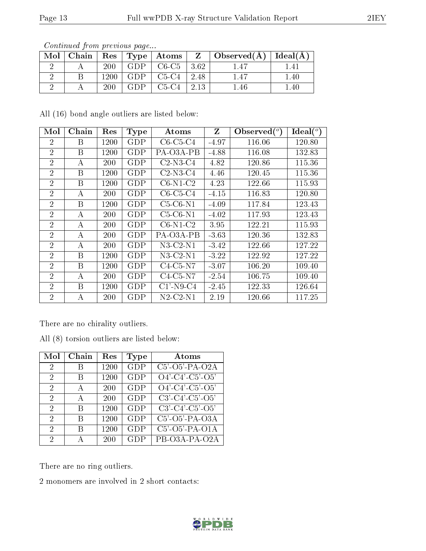|     | contentation provided page  |            |            |                    |      |                                             |       |
|-----|-----------------------------|------------|------------|--------------------|------|---------------------------------------------|-------|
| Mol | $\mathbf{\cdot}$ Chain $^+$ |            |            | Res   Type   Atoms |      | $Z \mid$ Observed( $\AA$ )   Ideal( $\AA$ ) |       |
|     |                             | 200        | <b>GDP</b> | $C6-C5$            | 3.62 | l 47                                        | l .41 |
|     |                             | 1200       | GDP        | $C5-C4$            | 2.48 | 1.47                                        | 1.40  |
|     |                             | <b>200</b> | GDP        | $C5-C4$            | 2.13 | .46                                         | .40   |

Continued from previous page...

All (16) bond angle outliers are listed below:

| Mol            | Chain        | Res  | <b>Type</b> | Atoms                       | Z       | Observed $({}^{\circ})$ | Ideal $({}^{\circ})$ |
|----------------|--------------|------|-------------|-----------------------------|---------|-------------------------|----------------------|
| 2              | B            | 1200 | GDP         | $C6-C5-C4$                  | $-4.97$ | 116.06                  | 120.80               |
| $\overline{2}$ | <sub>B</sub> | 1200 | GDP         | PA-O3A-PB                   | $-4.88$ | 116.08                  | 132.83               |
| $\overline{2}$ | A            | 200  | GDP         | $C2-N3-C4$                  | 4.82    | 120.86                  | 115.36               |
| $\overline{2}$ | B            | 1200 | GDP         | $C2-N3-C4$                  | 4.46    | 120.45                  | 115.36               |
| $\overline{2}$ | B            | 1200 | <b>GDP</b>  | $C6-N1-C2$                  | 4.23    | 122.66                  | 115.93               |
| $\overline{2}$ | А            | 200  | <b>GDP</b>  | $C6-C5-C4$                  | $-4.15$ | 116.83                  | 120.80               |
| $\overline{2}$ | B            | 1200 | GDP         | $C5-C6-N1$                  | $-4.09$ | 117.84                  | 123.43               |
| $\overline{2}$ | А            | 200  | GDP         | $C5-C6-N1$                  | $-4.02$ | 117.93                  | 123.43               |
| $\overline{2}$ | A            | 200  | GDP         | $C6-N1-C2$                  | 3.95    | 122.21                  | 115.93               |
| $\overline{2}$ | A            | 200  | GDP         | PA-O3A-PB                   | $-3.63$ | 120.36                  | 132.83               |
| $\overline{2}$ | A            | 200  | <b>GDP</b>  | $N3-C2-N1$                  | $-3.42$ | 122.66                  | 127.22               |
| $\overline{2}$ | <sub>B</sub> | 1200 | <b>GDP</b>  | $N3-C2-N1$                  | $-3.22$ | 122.92                  | 127.22               |
| $\overline{2}$ | B            | 1200 | GDP         | $C4-C5-N7$                  | $-3.07$ | 106.20                  | 109.40               |
| $\overline{2}$ | A            | 200  | GDP         | $C4-C5-N7$                  | $-2.54$ | 106.75                  | 109.40               |
| $\overline{2}$ | B            | 1200 | GDP         | $\overline{C}1'$ -N9-C4     | $-2.45$ | 122.33                  | 126.64               |
| $\overline{2}$ | А            | 200  | GDP         | $N2$ -C <sub>2</sub> - $N1$ | 2.19    | 120.66                  | 117.25               |

There are no chirality outliers.

All (8) torsion outliers are listed below:

| Mol                         | ${\bf Chain}$ | Res  | <b>Type</b> | Atoms                                            |
|-----------------------------|---------------|------|-------------|--------------------------------------------------|
| $\mathcal{D}$               | В             | 1200 | <b>GDP</b>  | $C5'$ -O5'-PA-O2A                                |
| $\mathcal{D}_{\mathcal{A}}$ | В             | 1200 | <b>GDP</b>  | $O4'$ -C4'-C5'-O5'                               |
| $\mathcal{D}_{\mathcal{A}}$ | А             | 200  | GDP         | $O4'$ -C4'-C5'-O5'                               |
| 2                           | А             | 200  | GDP         | $C3'$ - $C4'$ - $C5'$ - $O5'$                    |
| 2                           | R             | 1200 | <b>GDP</b>  | $C3'$ - $C4'$ - $C5'$ - $O5'$                    |
| $\mathcal{D}$               | R             | 1200 | <b>GDP</b>  | $\overline{\text{C5}'\text{-O5}'\text{-PA-O3A}}$ |
| $\mathcal{D}$               | R             | 1200 | GDP         | $C5'$ -O5'-PA-O1A                                |
| $\mathcal{D}$               |               | 200  | GDP         | PB-O3A-PA-O2A                                    |

There are no ring outliers.

2 monomers are involved in 2 short contacts:

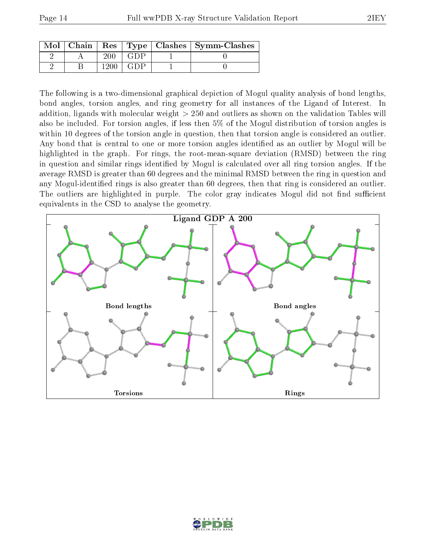|  |       |                            | Mol   Chain   Res   Type   Clashes   Symm-Clashes |
|--|-------|----------------------------|---------------------------------------------------|
|  |       | $(\cdot, \cdot)$ P $\cdot$ |                                                   |
|  | 1900. | -41)P                      |                                                   |

The following is a two-dimensional graphical depiction of Mogul quality analysis of bond lengths, bond angles, torsion angles, and ring geometry for all instances of the Ligand of Interest. In addition, ligands with molecular weight > 250 and outliers as shown on the validation Tables will also be included. For torsion angles, if less then 5% of the Mogul distribution of torsion angles is within 10 degrees of the torsion angle in question, then that torsion angle is considered an outlier. Any bond that is central to one or more torsion angles identified as an outlier by Mogul will be highlighted in the graph. For rings, the root-mean-square deviation (RMSD) between the ring in question and similar rings identified by Mogul is calculated over all ring torsion angles. If the average RMSD is greater than 60 degrees and the minimal RMSD between the ring in question and any Mogul-identified rings is also greater than 60 degrees, then that ring is considered an outlier. The outliers are highlighted in purple. The color gray indicates Mogul did not find sufficient equivalents in the CSD to analyse the geometry.



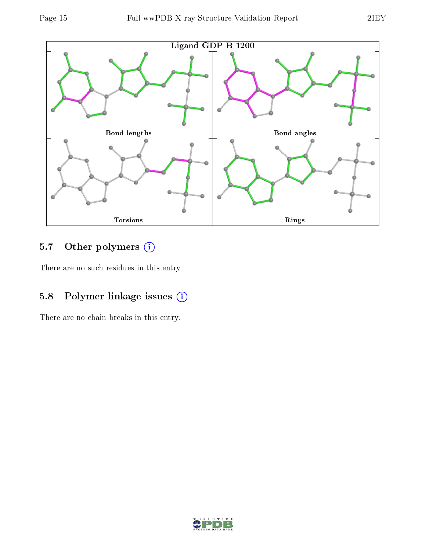

# 5.7 [O](https://www.wwpdb.org/validation/2017/XrayValidationReportHelp#nonstandard_residues_and_ligands)ther polymers (i)

There are no such residues in this entry.

### 5.8 Polymer linkage issues (i)

There are no chain breaks in this entry.

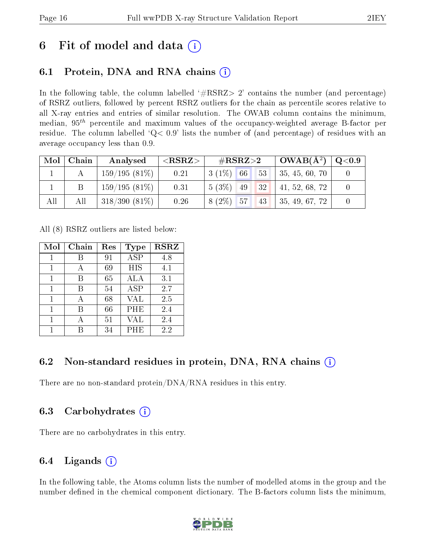## 6 Fit of model and data  $\left( \cdot \right)$

### 6.1 Protein, DNA and RNA chains (i)

In the following table, the column labelled  $#RSRZ>2'$  contains the number (and percentage) of RSRZ outliers, followed by percent RSRZ outliers for the chain as percentile scores relative to all X-ray entries and entries of similar resolution. The OWAB column contains the minimum, median,  $95<sup>th</sup>$  percentile and maximum values of the occupancy-weighted average B-factor per residue. The column labelled  $Q< 0.9$  lists the number of (and percentage) of residues with an average occupancy less than 0.9.

| Mol | Chain | Analysed        | ${ <\hspace{-1.5pt}{\mathrm{RSRZ}} \hspace{-1.5pt}>}$ | $\#\text{RSRZ}{>}2$ | $OWAB(A^2)$    | $\rm Q\textcolor{black}{<}0.9$ |
|-----|-------|-----------------|-------------------------------------------------------|---------------------|----------------|--------------------------------|
|     |       | 159/195(81%)    | 0.21                                                  | $3(1\%)$ 66<br>53   | 35, 45, 60, 70 |                                |
|     |       | $159/195(81\%)$ | 0.31                                                  | $5(3\%)$ 49<br>1321 | 41, 52, 68, 72 |                                |
| All | All   | $318/390(81\%)$ | 0.26                                                  | $8(2\%)$ 57<br>43   | 35, 49, 67, 72 |                                |

All (8) RSRZ outliers are listed below:

| Mol | Chain | Res | Type       | <b>RSRZ</b> |
|-----|-------|-----|------------|-------------|
|     |       | 91  | ASP        | 4.8         |
|     |       | 69  | <b>HIS</b> | 4.1         |
| 1   | В     | 65  | ALA        | 3.1         |
| 1   | В     | 54  | <b>ASP</b> | 2.7         |
|     |       | 68  | <b>VAL</b> | 2.5         |
| 1   | В     | 66  | PHE        | 2.4         |
|     |       | 51  | VAL        | 2.4         |
| 1   |       | 34  | PHE        | 2.2         |

### 6.2 Non-standard residues in protein, DNA, RNA chains (i)

There are no non-standard protein/DNA/RNA residues in this entry.

### 6.3 Carbohydrates (i)

There are no carbohydrates in this entry.

### 6.4 Ligands  $(i)$

In the following table, the Atoms column lists the number of modelled atoms in the group and the number defined in the chemical component dictionary. The B-factors column lists the minimum,

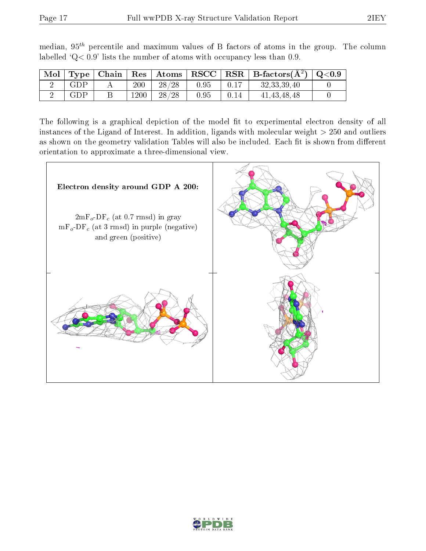| Mol | Type | Chain |         |       |      |      | $\mid$ Res $\mid$ Atoms $\mid$ RSCC $\mid$ RSR $\mid$ B-factors( $A^2$ ) $\mid$ Q<0.9 |  |
|-----|------|-------|---------|-------|------|------|---------------------------------------------------------------------------------------|--|
|     | GDP  |       | $200\,$ | 28/28 | 0.95 | 0.17 | 32, 33, 39, 40                                                                        |  |
|     | GDP  |       | 1200    | 28/28 | 0.95 | 0.14 | 41, 43, 48, 48                                                                        |  |

median,  $95<sup>th</sup>$  percentile and maximum values of B factors of atoms in the group. The column labelled ' $Q< 0.9$ ' lists the number of atoms with occupancy less than 0.9.

The following is a graphical depiction of the model fit to experimental electron density of all instances of the Ligand of Interest. In addition, ligands with molecular weight  $> 250$  and outliers as shown on the geometry validation Tables will also be included. Each fit is shown from different orientation to approximate a three-dimensional view.